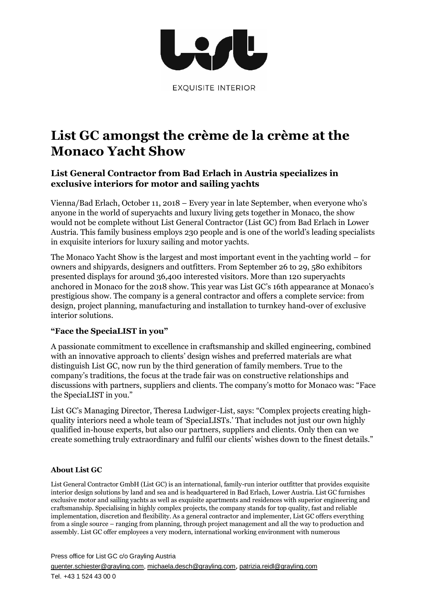

# **List GC amongst the crème de la crème at the Monaco Yacht Show**

## **List General Contractor from Bad Erlach in Austria specializes in exclusive interiors for motor and sailing yachts**

Vienna/Bad Erlach, October 11, 2018 – Every year in late September, when everyone who's anyone in the world of superyachts and luxury living gets together in Monaco, the show would not be complete without List General Contractor (List GC) from Bad Erlach in Lower Austria. This family business employs 230 people and is one of the world's leading specialists in exquisite interiors for luxury sailing and motor yachts.

The Monaco Yacht Show is the largest and most important event in the yachting world – for owners and shipyards, designers and outfitters. From September 26 to 29, 580 exhibitors presented displays for around 36,400 interested visitors. More than 120 superyachts anchored in Monaco for the 2018 show. This year was List GC's 16th appearance at Monaco's prestigious show. The company is a general contractor and offers a complete service: from design, project planning, manufacturing and installation to turnkey hand-over of exclusive interior solutions.

### **"Face the SpeciaLIST in you"**

A passionate commitment to excellence in craftsmanship and skilled engineering, combined with an innovative approach to clients' design wishes and preferred materials are what distinguish List GC, now run by the third generation of family members. True to the company's traditions, the focus at the trade fair was on constructive relationships and discussions with partners, suppliers and clients. The company's motto for Monaco was: "Face the SpeciaLIST in you."

List GC's Managing Director, Theresa Ludwiger-List, says: "Complex projects creating highquality interiors need a whole team of 'SpeciaLISTs.' That includes not just our own highly qualified in-house experts, but also our partners, suppliers and clients. Only then can we create something truly extraordinary and fulfil our clients' wishes down to the finest details."

### **About List GC**

List General Contractor GmbH (List GC) is an international, family-run interior outfitter that provides exquisite interior design solutions by land and sea and is headquartered in Bad Erlach, Lower Austria. List GC furnishes exclusive motor and sailing yachts as well as exquisite apartments and residences with superior engineering and craftsmanship. Specialising in highly complex projects, the company stands for top quality, fast and reliable implementation, discretion and flexibility. As a general contractor and implementer, List GC offers everything from a single source – ranging from planning, through project management and all the way to production and assembly. List GC offer employees a very modern, international working environment with numerous